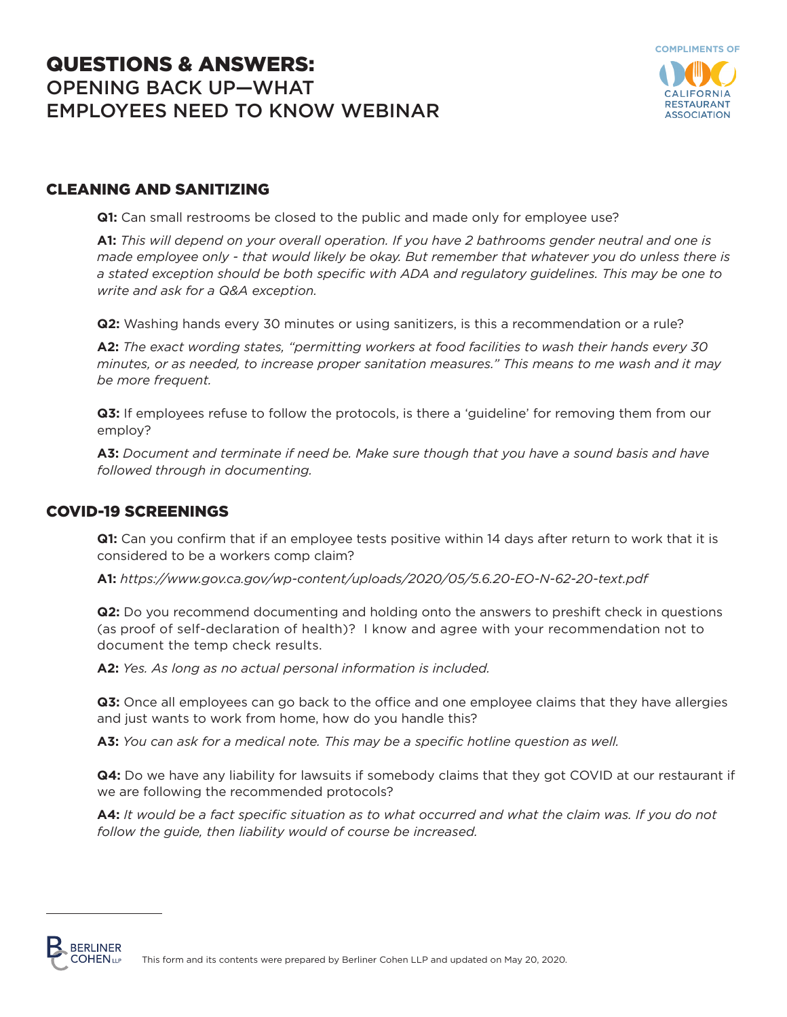# QUESTIONS & ANSWERS: OPENING BACK UP—WHAT EMPLOYEES NEED TO KNOW WEBINAR



# CLEANING AND SANITIZING

**Q1:** Can small restrooms be closed to the public and made only for employee use?

**A1:** *This will depend on your overall operation. If you have 2 bathrooms gender neutral and one is made employee only - that would likely be okay. But remember that whatever you do unless there is a stated exception should be both specific with ADA and regulatory guidelines. This may be one to write and ask for a Q&A exception.*

**Q2:** Washing hands every 30 minutes or using sanitizers, is this a recommendation or a rule?

**A2:** *The exact wording states, "permitting workers at food facilities to wash their hands every 30 minutes, or as needed, to increase proper sanitation measures." This means to me wash and it may be more frequent.* 

**Q3:** If employees refuse to follow the protocols, is there a 'guideline' for removing them from our employ?

**A3:** *Document and terminate if need be. Make sure though that you have a sound basis and have followed through in documenting.* 

# COVID-19 SCREENINGS

**Q1:** Can you confirm that if an employee tests positive within 14 days after return to work that it is considered to be a workers comp claim?

**A1:** *https://www.gov.ca.gov/wp-content/uploads/2020/05/5.6.20-EO-N-62-20-text.pdf*

**Q2:** Do you recommend documenting and holding onto the answers to preshift check in questions (as proof of self-declaration of health)? I know and agree with your recommendation not to document the temp check results.

**A2:** *Yes. As long as no actual personal information is included.*

**Q3:** Once all employees can go back to the office and one employee claims that they have allergies and just wants to work from home, how do you handle this?

**A3:** *You can ask for a medical note. This may be a specific hotline question as well.* 

**Q4:** Do we have any liability for lawsuits if somebody claims that they got COVID at our restaurant if we are following the recommended protocols?

**A4:** *It would be a fact specific situation as to what occurred and what the claim was. If you do not follow the guide, then liability would of course be increased.* 

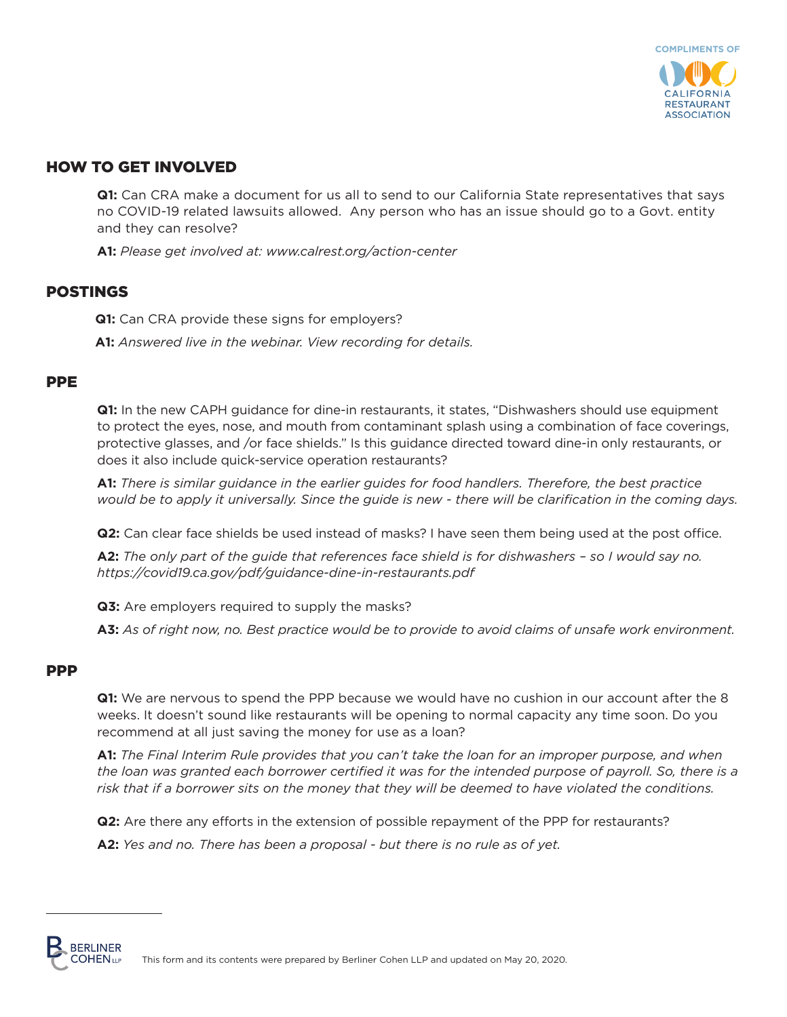

# HOW TO GET INVOLVED

**Q1:** Can CRA make a document for us all to send to our California State representatives that says no COVID-19 related lawsuits allowed. Any person who has an issue should go to a Govt. entity and they can resolve?

**A1:** *Please get involved at: www.calrest.org/action-center* 

# POSTINGS

**Q1:** Can CRA provide these signs for employers?

**A1:** *Answered live in the webinar. View recording for details.* 

## PPE

**Q1:** In the new CAPH guidance for dine-in restaurants, it states, "Dishwashers should use equipment to protect the eyes, nose, and mouth from contaminant splash using a combination of face coverings, protective glasses, and /or face shields." Is this guidance directed toward dine-in only restaurants, or does it also include quick-service operation restaurants?

**A1:** *There is similar guidance in the earlier guides for food handlers. Therefore, the best practice would be to apply it universally. Since the guide is new - there will be clarification in the coming days.* 

**Q2:** Can clear face shields be used instead of masks? I have seen them being used at the post office.

**A2:** *The only part of the guide that references face shield is for dishwashers – so I would say no. https://covid19.ca.gov/pdf/guidance-dine-in-restaurants.pdf*

**Q3:** Are employers required to supply the masks?

**A3:** *As of right now, no. Best practice would be to provide to avoid claims of unsafe work environment.* 

#### **PPP**

**Q1:** We are nervous to spend the PPP because we would have no cushion in our account after the 8 weeks. It doesn't sound like restaurants will be opening to normal capacity any time soon. Do you recommend at all just saving the money for use as a loan?

**A1:** *The Final Interim Rule provides that you can't take the loan for an improper purpose, and when the loan was granted each borrower certified it was for the intended purpose of payroll. So, there is a risk that if a borrower sits on the money that they will be deemed to have violated the conditions.* 

**Q2:** Are there any efforts in the extension of possible repayment of the PPP for restaurants?

**A2:** *Yes and no. There has been a proposal - but there is no rule as of yet.* 

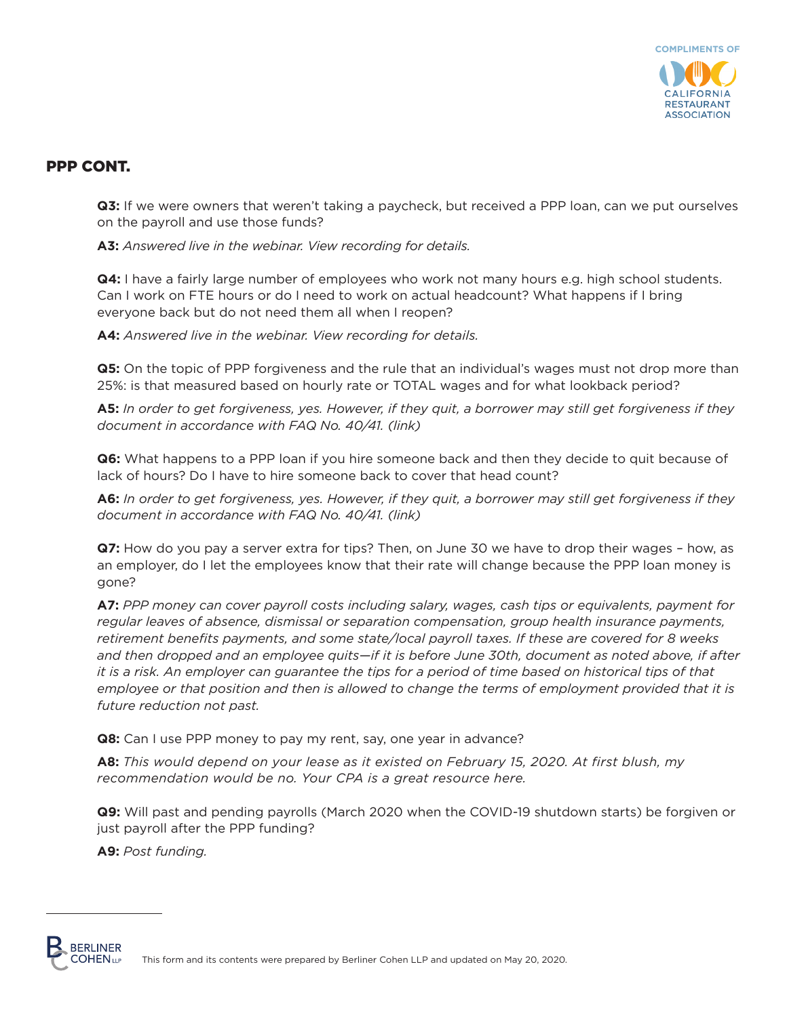

**Q3:** If we were owners that weren't taking a paycheck, but received a PPP loan, can we put ourselves on the payroll and use those funds?

**A3:** *Answered live in the webinar. View recording for details.* 

**Q4:** I have a fairly large number of employees who work not many hours e.g. high school students. Can I work on FTE hours or do I need to work on actual headcount? What happens if I bring everyone back but do not need them all when I reopen?

**A4:** *Answered live in the webinar. View recording for details.*

**Q5:** On the topic of PPP forgiveness and the rule that an individual's wages must not drop more than 25%: is that measured based on hourly rate or TOTAL wages and for what lookback period?

**A5:** *In order to get forgiveness, yes. However, if they quit, a borrower may still get forgiveness if they document in accordance with FAQ No. 40/41. [\(link\)](https://home.treasury.gov/system/files/136/Paycheck-Protection-Program-Frequently-Asked-Questions.pdf)*

**Q6:** What happens to a PPP loan if you hire someone back and then they decide to quit because of lack of hours? Do I have to hire someone back to cover that head count?

**A6:** *In order to get forgiveness, yes. However, if they quit, a borrower may still get forgiveness if they document in accordance with FAQ No. 40/41. [\(link\)](https://home.treasury.gov/system/files/136/Paycheck-Protection-Program-Frequently-Asked-Questions.pdf)*

**Q7:** How do you pay a server extra for tips? Then, on June 30 we have to drop their wages – how, as an employer, do I let the employees know that their rate will change because the PPP loan money is gone?

**A7:** *PPP money can cover payroll costs including salary, wages, cash tips or equivalents, payment for regular leaves of absence, dismissal or separation compensation, group health insurance payments, retirement benefits payments, and some state/local payroll taxes. If these are covered for 8 weeks and then dropped and an employee quits—if it is before June 30th, document as noted above, if after it is a risk. An employer can guarantee the tips for a period of time based on historical tips of that employee or that position and then is allowed to change the terms of employment provided that it is future reduction not past.*

**Q8:** Can I use PPP money to pay my rent, say, one year in advance?

**A8:** *This would depend on your lease as it existed on February 15, 2020. At first blush, my recommendation would be no. Your CPA is a great resource here.* 

**Q9:** Will past and pending payrolls (March 2020 when the COVID-19 shutdown starts) be forgiven or just payroll after the PPP funding?

**A9:** *Post funding.*

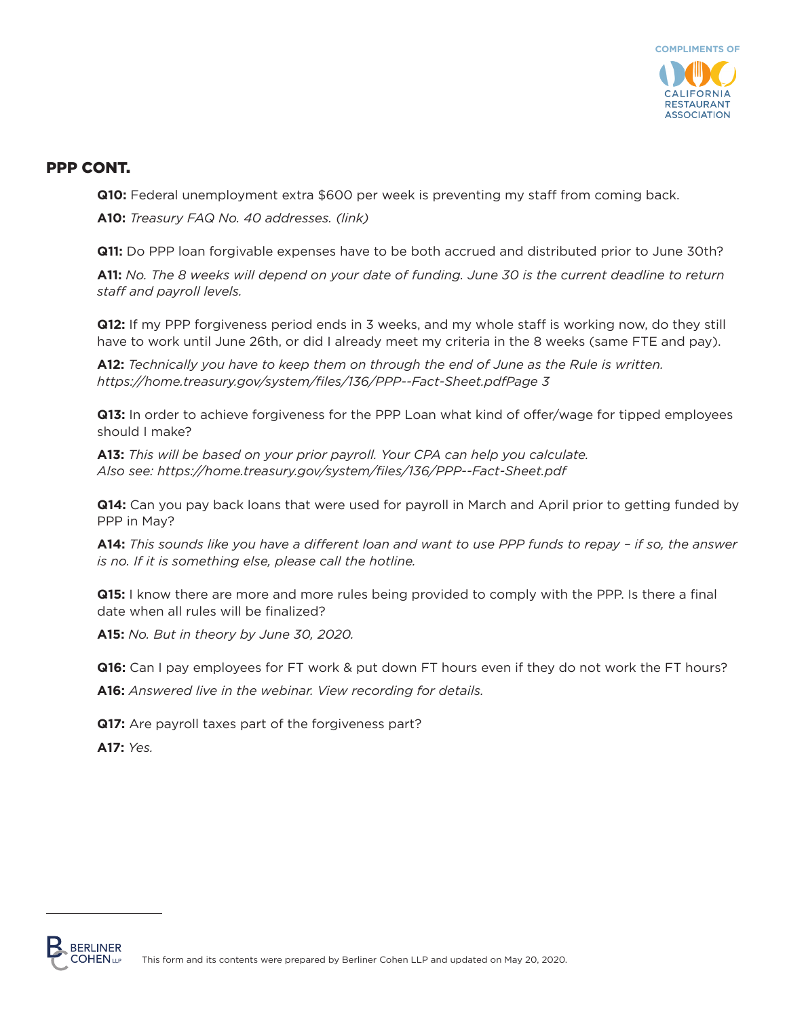

**Q10:** Federal unemployment extra \$600 per week is preventing my staff from coming back.

**A10:** *Treasury FAQ No. 40 addresses. [\(link\)](https://home.treasury.gov/system/files/136/Paycheck-Protection-Program-Frequently-Asked-Questions.pdf)* 

**Q11:** Do PPP loan forgivable expenses have to be both accrued and distributed prior to June 30th?

**A11:** *No. The 8 weeks will depend on your date of funding. June 30 is the current deadline to return staff and payroll levels.*

**Q12:** If my PPP forgiveness period ends in 3 weeks, and my whole staff is working now, do they still have to work until June 26th, or did I already meet my criteria in the 8 weeks (same FTE and pay).

**A12:** *Technically you have to keep them on through the end of June as the Rule is written. https://home.treasury.gov/system/files/136/PPP--Fact-Sheet.pdfPage 3*

**Q13:** In order to achieve forgiveness for the PPP Loan what kind of offer/wage for tipped employees should I make?

**A13:** *This will be based on your prior payroll. Your CPA can help you calculate. Also see: https://home.treasury.gov/system/files/136/PPP--Fact-Sheet.pdf* 

**Q14:** Can you pay back loans that were used for payroll in March and April prior to getting funded by PPP in May?

**A14:** *This sounds like you have a different loan and want to use PPP funds to repay – if so, the answer is no. If it is something else, please call the hotline.* 

**Q15:** I know there are more and more rules being provided to comply with the PPP. Is there a final date when all rules will be finalized?

**A15:** *No. But in theory by June 30, 2020.* 

**Q16:** Can I pay employees for FT work & put down FT hours even if they do not work the FT hours? **A16:** *Answered live in the webinar. View recording for details.* 

**Q17:** Are payroll taxes part of the forgiveness part?

**A17:** *Yes.*

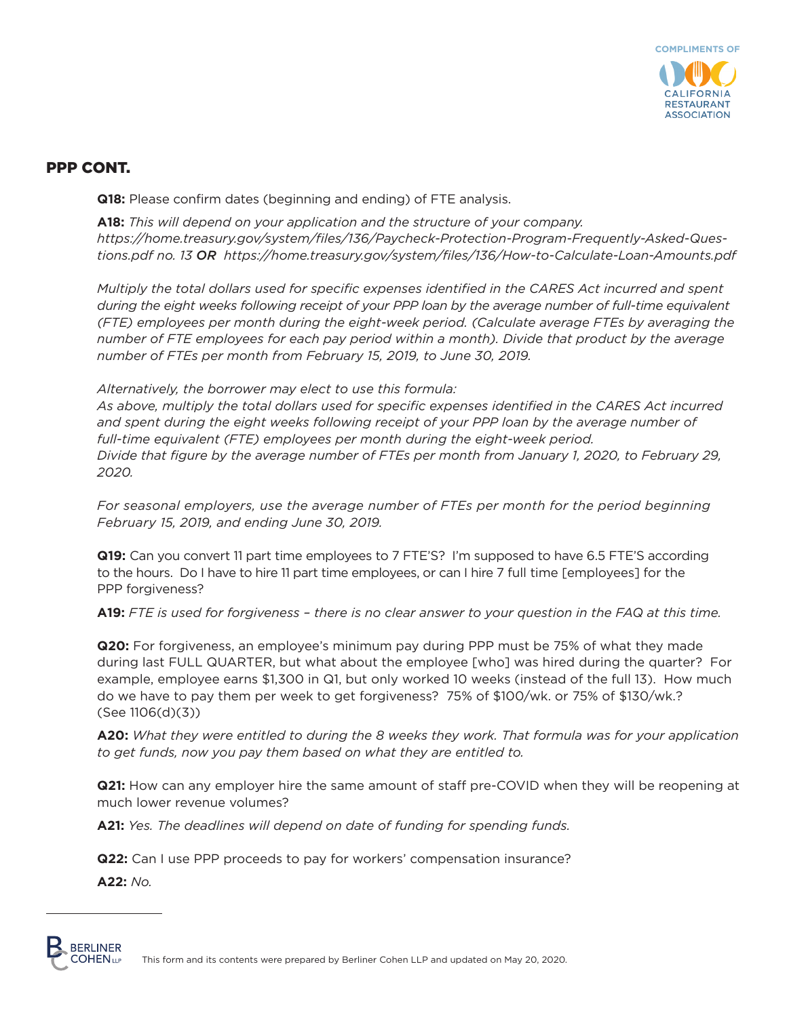

**Q18:** Please confirm dates (beginning and ending) of FTE analysis.

**A18:** *This will depend on your application and the structure of your company. https://home.treasury.gov/system/files/136/Paycheck-Protection-Program-Frequently-Asked-Questions.pdf no. 13 OR https://home.treasury.gov/system/files/136/How-to-Calculate-Loan-Amounts.pdf*

*Multiply the total dollars used for specific expenses identified in the CARES Act incurred and spent during the eight weeks following receipt of your PPP loan by the average number of full-time equivalent (FTE) employees per month during the eight-week period. (Calculate average FTEs by averaging the number of FTE employees for each pay period within a month). Divide that product by the average number of FTEs per month from February 15, 2019, to June 30, 2019.*

*Alternatively, the borrower may elect to use this formula:*

*As above, multiply the total dollars used for specific expenses identified in the CARES Act incurred*  and spent during the eight weeks following receipt of your PPP loan by the average number of *full-time equivalent (FTE) employees per month during the eight-week period. Divide that figure by the average number of FTEs per month from January 1, 2020, to February 29, 2020.* 

*For seasonal employers, use the average number of FTEs per month for the period beginning February 15, 2019, and ending June 30, 2019.*

**Q19:** Can you convert 11 part time employees to 7 FTE'S? I'm supposed to have 6.5 FTE'S according to the hours. Do I have to hire 11 part time employees, or can I hire 7 full time [employees] for the PPP forgiveness?

**A19:** *FTE is used for forgiveness – there is no clear answer to your question in the FAQ at this time.* 

**Q20:** For forgiveness, an employee's minimum pay during PPP must be 75% of what they made during last FULL QUARTER, but what about the employee [who] was hired during the quarter? For example, employee earns \$1,300 in Q1, but only worked 10 weeks (instead of the full 13). How much do we have to pay them per week to get forgiveness? 75% of \$100/wk. or 75% of \$130/wk.? (See 1106(d)(3))

**A20:** *What they were entitled to during the 8 weeks they work. That formula was for your application to get funds, now you pay them based on what they are entitled to.* 

**Q21:** How can any employer hire the same amount of staff pre-COVID when they will be reopening at much lower revenue volumes?

**A21:** *Yes. The deadlines will depend on date of funding for spending funds.* 

**Q22:** Can I use PPP proceeds to pay for workers' compensation insurance?

**A22:** *No.* 

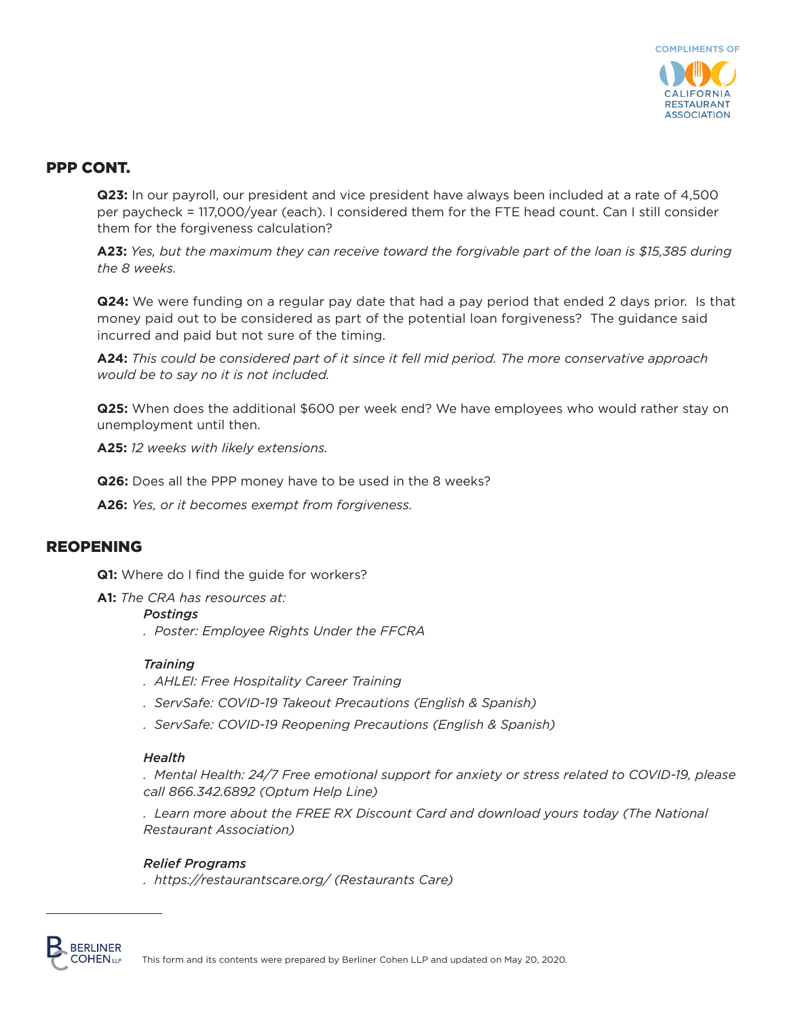

**Q23:** In our payroll, our president and vice president have always been included at a rate of 4,500 per paycheck = 117,000/year (each). I considered them for the FTE head count. Can I still consider them for the forgiveness calculation?

**A23:** *Yes, but the maximum they can receive toward the forgivable part of the loan is \$15,385 during the 8 weeks.* 

**Q24:** We were funding on a regular pay date that had a pay period that ended 2 days prior. Is that money paid out to be considered as part of the potential loan forgiveness? The guidance said incurred and paid but not sure of the timing.

**A24:** *This could be considered part of it since it fell mid period. The more conservative approach would be to say no it is not included.* 

**Q25:** When does the additional \$600 per week end? We have employees who would rather stay on unemployment until then.

**A25:** *12 weeks with likely extensions.* 

**Q26:** Does all the PPP money have to be used in the 8 weeks?

**A26:** *Yes, or it becomes exempt from forgiveness.*

#### REOPENING

**Q1:** Where do I find the quide for workers?

**A1:** *The CRA has resources at:* 

#### *Postings*

*. Poster: Employee Rights Under the FFCRA* 

#### *Training*

- *. AHLEI: Free Hospitality Career Training*
- *. ServSafe: COVID-19 Takeout Precautions (English & Spanish)*
- *. ServSafe: COVID-19 Reopening Precautions (English & Spanish)*

#### *Health*

*. Mental Health: 24/7 Free emotional support for anxiety or stress related to COVID-19, please call 866.342.6892 (Optum Help Line)*

*. Learn more about the FREE RX Discount Card and download yours today (The National Restaurant Association)*

#### *Relief Programs*

*. https://restaurantscare.org/ (Restaurants Care)*

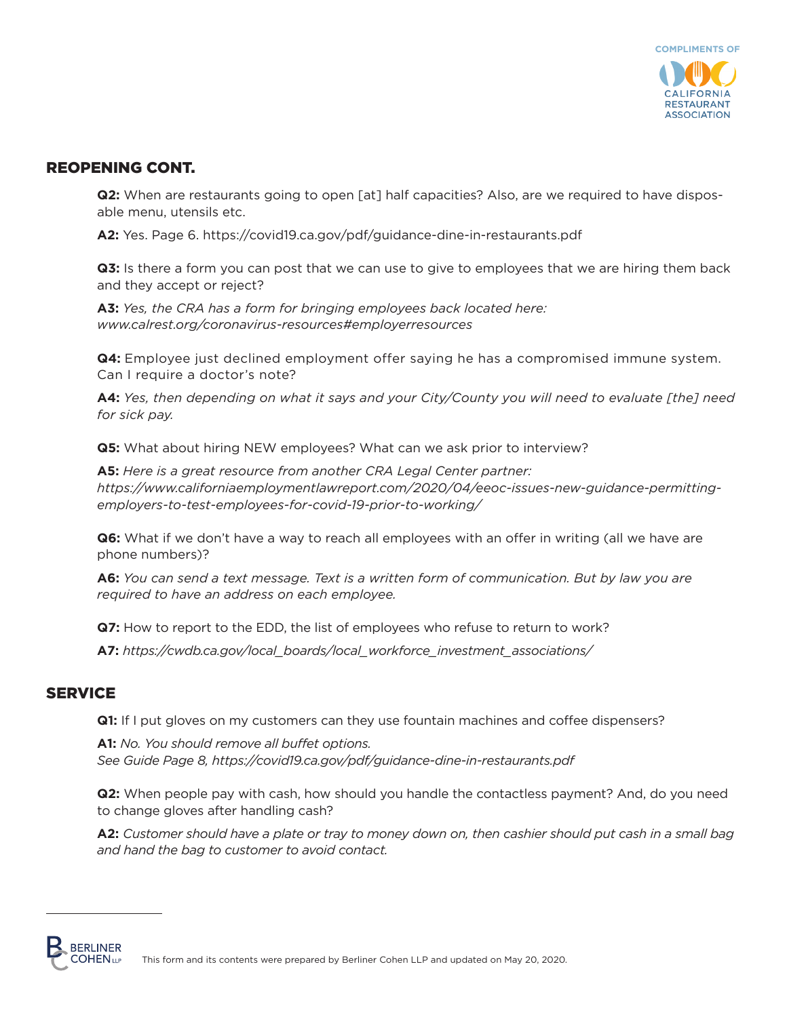

## REOPENING CONT.

**Q2:** When are restaurants going to open [at] half capacities? Also, are we required to have disposable menu, utensils etc.

**A2:** Yes. Page 6. https://covid19.ca.gov/pdf/guidance-dine-in-restaurants.pdf

**Q3:** Is there a form you can post that we can use to give to employees that we are hiring them back and they accept or reject?

**A3:** *Yes, the CRA has a form for bringing employees back located here: www.calrest.org/coronavirus-resources#employerresources* 

**Q4:** Employee just declined employment offer saying he has a compromised immune system. Can I require a doctor's note?

**A4:** *Yes, then depending on what it says and your City/County you will need to evaluate [the] need for sick pay.* 

**Q5:** What about hiring NEW employees? What can we ask prior to interview?

**A5:** *Here is a great resource from another CRA Legal Center partner: https://www.californiaemploymentlawreport.com/2020/04/eeoc-issues-new-guidance-permittingemployers-to-test-employees-for-covid-19-prior-to-working/*

**Q6:** What if we don't have a way to reach all employees with an offer in writing (all we have are phone numbers)?

**A6:** *You can send a text message. Text is a written form of communication. But by law you are required to have an address on each employee.* 

**Q7:** How to report to the EDD, the list of employees who refuse to return to work?

**A7:** *https://cwdb.ca.gov/local\_boards/local\_workforce\_investment\_associations/*

#### **SERVICE**

**Q1:** If I put gloves on my customers can they use fountain machines and coffee dispensers?

**A1:** *No. You should remove all buffet options. See Guide Page 8, https://covid19.ca.gov/pdf/guidance-dine-in-restaurants.pdf*

**Q2:** When people pay with cash, how should you handle the contactless payment? And, do you need to change gloves after handling cash?

**A2:** *Customer should have a plate or tray to money down on, then cashier should put cash in a small bag and hand the bag to customer to avoid contact.*